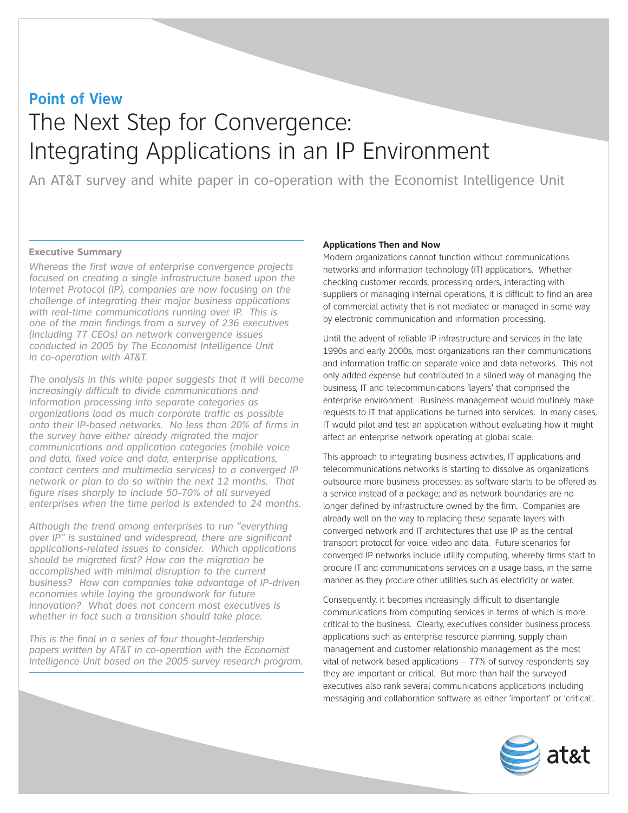# The Next Step for Convergence: Integrating Applications in an IP Environment **Point of View**

An AT&T survey and white paper in co-operation with the Economist Intelligence Unit

# **Executive Summary**

*Whereas the first wave of enterprise convergence projects focused on creating a single infrastructure based upon the Internet Protocol (IP), companies are now focusing on the challenge of integrating their major business applications with real-time communications running over IP. This is one of the main findings from a survey of 236 executives (including 77 CEOs) on network convergence issues conducted in 2005 by The Economist Intelligence Unit in co-operation with AT&T.*

*The analysis in this white paper suggests that it will become increasingly difficult to divide communications and information processing into separate categories as organizations load as much corporate traffic as possible onto their IP-based networks. No less than 20% of firms in the survey have either already migrated the major communications and application categories (mobile voice and data, fixed voice and data, enterprise applications, contact centers and multimedia services) to a converged IP network or plan to do so within the next 12 months. That figure rises sharply to include 50-70% of all surveyed enterprises when the time period is extended to 24 months.*

*Although the trend among enterprises to run "everything over IP" is sustained and widespread, there are significant applications-related issues to consider. Which applications should be migrated first? How can the migration be accomplished with minimal disruption to the current business? How can companies take advantage of IP-driven economies while laying the groundwork for future innovation? What does not concern most executives is whether in fact such a transition should take place.* 

*This is the final in a series of four thought-leadership papers written by AT&T in co-operation with the Economist Intelligence Unit based on the 2005 survey research program.*

# **Applications Then and Now**

Modern organizations cannot function without communications networks and information technology (IT) applications. Whether checking customer records, processing orders, interacting with suppliers or managing internal operations, it is difficult to find an area of commercial activity that is not mediated or managed in some way by electronic communication and information processing.

Until the advent of reliable IP infrastructure and services in the late 1990s and early 2000s, most organizations ran their communications and information traffic on separate voice and data networks. This not only added expense but contributed to a siloed way of managing the business, IT and telecommunications 'layers' that comprised the enterprise environment. Business management would routinely make requests to IT that applications be turned into services. In many cases, IT would pilot and test an application without evaluating how it might affect an enterprise network operating at global scale.

This approach to integrating business activities, IT applications and telecommunications networks is starting to dissolve as organizations outsource more business processes; as software starts to be offered as a service instead of a package; and as network boundaries are no longer defined by infrastructure owned by the firm. Companies are already well on the way to replacing these separate layers with converged network and IT architectures that use IP as the central transport protocol for voice, video and data. Future scenarios for converged IP networks include utility computing, whereby firms start to procure IT and communications services on a usage basis, in the same manner as they procure other utilities such as electricity or water.

Consequently, it becomes increasingly difficult to disentangle communications from computing services in terms of which is more critical to the business. Clearly, executives consider business process applications such as enterprise resource planning, supply chain management and customer relationship management as the most vital of network-based applications – 77% of survey respondents say they are important or critical. But more than half the surveyed executives also rank several communications applications including messaging and collaboration software as either 'important' or 'critical'.

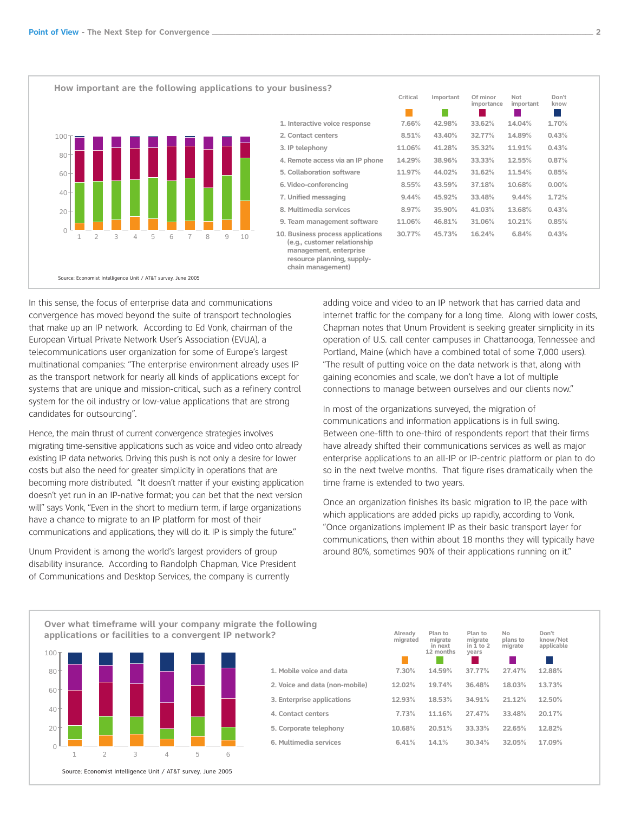

|                                                                                                                                                | Critical | Important | Of minor<br>importance | Not<br>important | Don't<br>know |  |
|------------------------------------------------------------------------------------------------------------------------------------------------|----------|-----------|------------------------|------------------|---------------|--|
| 1. Interactive voice response                                                                                                                  | 7.66%    | 42.98%    | 33.62%                 | 14.04%           | 1.70%         |  |
| 2. Contact centers                                                                                                                             | 8.51%    | 43.40%    | 32.77%                 | 14.89%           | 0.43%         |  |
| 3. IP telephony                                                                                                                                | 11.06%   | 41.28%    | 35.32%                 | 11.91%           | 0.43%         |  |
| 4. Remote access via an IP phone                                                                                                               | 14.29%   | 38.96%    | 33.33%                 | 12.55%           | 0.87%         |  |
| 5. Collaboration software                                                                                                                      | 11.97%   | 44.02%    | 31.62%                 | 11.54%           | 0.85%         |  |
| 6. Video-conferencing                                                                                                                          | 8.55%    | 43.59%    | 37.18%                 | 10.68%           | 0.00%         |  |
| 7. Unified messaging                                                                                                                           | 9.44%    | 45.92%    | 33.48%                 | 9.44%            | 1.72%         |  |
| 8. Multimedia services                                                                                                                         | 8.97%    | 35.90%    | 41.03%                 | 13.68%           | 0.43%         |  |
| 9. Team management software                                                                                                                    | 11.06%   | 46.81%    | 31.06%                 | 10.21%           | 0.85%         |  |
| 10. Business process applications<br>(e.g., customer relationship<br>management, enterprise<br>resource planning, supply-<br>chain management) | 30.77%   | 45.73%    | 16.24%                 | 6.84%            | 0.43%         |  |
|                                                                                                                                                |          |           |                        |                  |               |  |

In this sense, the focus of enterprise data and communications convergence has moved beyond the suite of transport technologies that make up an IP network. According to Ed Vonk, chairman of the European Virtual Private Network User's Association (EVUA), a telecommunications user organization for some of Europe's largest multinational companies: "The enterprise environment already uses IP as the transport network for nearly all kinds of applications except for systems that are unique and mission-critical, such as a refinery control system for the oil industry or low-value applications that are strong candidates for outsourcing".

Hence, the main thrust of current convergence strategies involves migrating time-sensitive applications such as voice and video onto already existing IP data networks. Driving this push is not only a desire for lower costs but also the need for greater simplicity in operations that are becoming more distributed. "It doesn't matter if your existing application doesn't yet run in an IP-native format; you can bet that the next version will" says Vonk, "Even in the short to medium term, if large organizations have a chance to migrate to an IP platform for most of their communications and applications, they will do it. IP is simply the future."

Unum Provident is among the world's largest providers of group disability insurance. According to Randolph Chapman, Vice President of Communications and Desktop Services, the company is currently

adding voice and video to an IP network that has carried data and internet traffic for the company for a long time. Along with lower costs, Chapman notes that Unum Provident is seeking greater simplicity in its operation of U.S. call center campuses in Chattanooga, Tennessee and Portland, Maine (which have a combined total of some 7,000 users). "The result of putting voice on the data network is that, along with gaining economies and scale, we don't have a lot of multiple connections to manage between ourselves and our clients now."

In most of the organizations surveyed, the migration of communications and information applications is in full swing. Between one-fifth to one-third of respondents report that their firms have already shifted their communications services as well as major enterprise applications to an all-IP or IP-centric platform or plan to do so in the next twelve months. That figure rises dramatically when the time frame is extended to two years.

Once an organization finishes its basic migration to IP, the pace with which applications are added picks up rapidly, according to Vonk. "Once organizations implement IP as their basic transport layer for communications, then within about 18 months they will typically have around 80%, sometimes 90% of their applications running on it."



| Already<br>migrated | Plan to<br>migrate<br>in next<br>12 months | Plan to<br>migrate<br>in $1$ to $2$<br>years | No<br>plans to<br>migrate | Don't<br>know/Not<br>applicable |
|---------------------|--------------------------------------------|----------------------------------------------|---------------------------|---------------------------------|
| 7.30%               | 14.59%                                     | 37.77%                                       | 27.47%                    | 12.88%                          |
| 12.02%              | 19.74%                                     | 36.48%                                       | 18.03%                    | 13.73%                          |
| 12.93%              | 18.53%                                     | 34.91%                                       | 21.12%                    | 12.50%                          |
| 7.73%               | 11.16%                                     | 27.47%                                       | 33.48%                    | 20.17%                          |
| 10.68%              | 20.51%                                     | 33.33%                                       | 22.65%                    | 12.82%                          |
| 6.41%               | 14.1%                                      | 30.34%                                       | 32.05%                    | 17.09%                          |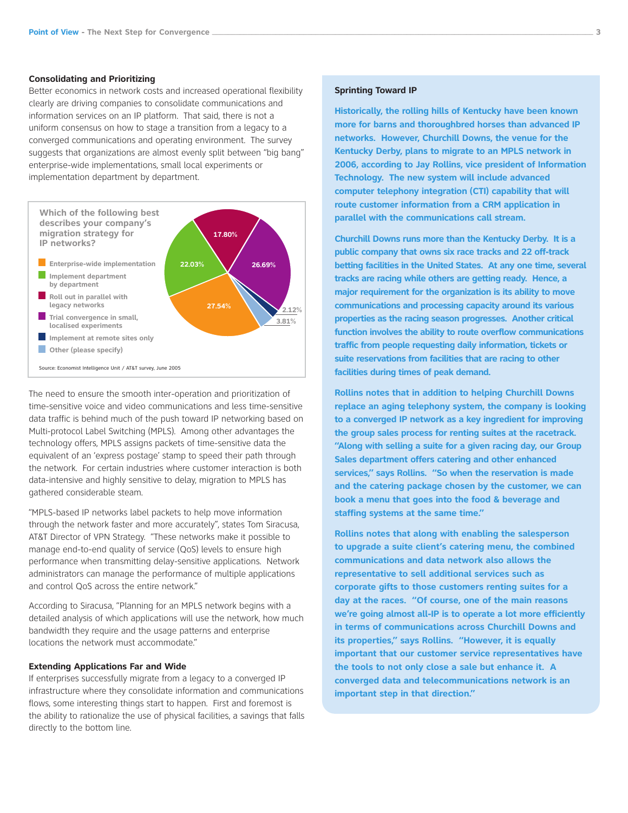#### **Consolidating and Prioritizing**

Better economics in network costs and increased operational flexibility clearly are driving companies to consolidate communications and information services on an IP platform. That said, there is not a uniform consensus on how to stage a transition from a legacy to a converged communications and operating environment. The survey suggests that organizations are almost evenly split between "big bang" enterprise-wide implementations, small local experiments or implementation department by department.



The need to ensure the smooth inter-operation and prioritization of time-sensitive voice and video communications and less time-sensitive data traffic is behind much of the push toward IP networking based on Multi-protocol Label Switching (MPLS). Among other advantages the technology offers, MPLS assigns packets of time-sensitive data the equivalent of an 'express postage' stamp to speed their path through the network. For certain industries where customer interaction is both data-intensive and highly sensitive to delay, migration to MPLS has gathered considerable steam.

"MPLS-based IP networks label packets to help move information through the network faster and more accurately", states Tom Siracusa, AT&T Director of VPN Strategy. "These networks make it possible to manage end-to-end quality of service (QoS) levels to ensure high performance when transmitting delay-sensitive applications. Network administrators can manage the performance of multiple applications and control QoS across the entire network."

According to Siracusa, "Planning for an MPLS network begins with a detailed analysis of which applications will use the network, how much bandwidth they require and the usage patterns and enterprise locations the network must accommodate."

# **Extending Applications Far and Wide**

If enterprises successfully migrate from a legacy to a converged IP infrastructure where they consolidate information and communications flows, some interesting things start to happen. First and foremost is the ability to rationalize the use of physical facilities, a savings that falls directly to the bottom line.

#### **Sprinting Toward IP**

**Historically, the rolling hills of Kentucky have been known more for barns and thoroughbred horses than advanced IP networks. However, Churchill Downs, the venue for the Kentucky Derby, plans to migrate to an MPLS network in 2006, according to Jay Rollins, vice president of Information Technology. The new system will include advanced computer telephony integration (CTI) capability that will route customer information from a CRM application in parallel with the communications call stream.**

**Churchill Downs runs more than the Kentucky Derby. It is a public company that owns six race tracks and 22 off-track betting facilities in the United States. At any one time, several tracks are racing while others are getting ready. Hence, a major requirement for the organization is its ability to move communications and processing capacity around its various properties as the racing season progresses. Another critical function involves the ability to route overflow communications traffic from people requesting daily information, tickets or suite reservations from facilities that are racing to other facilities during times of peak demand.**

**Rollins notes that in addition to helping Churchill Downs replace an aging telephony system, the company is looking to a converged IP network as a key ingredient for improving the group sales process for renting suites at the racetrack. "Along with selling a suite for a given racing day, our Group Sales department offers catering and other enhanced services," says Rollins. "So when the reservation is made and the catering package chosen by the customer, we can book a menu that goes into the food & beverage and staffing systems at the same time."**

**Rollins notes that along with enabling the salesperson to upgrade a suite client's catering menu, the combined communications and data network also allows the representative to sell additional services such as corporate gifts to those customers renting suites for a day at the races. "Of course, one of the main reasons we're going almost all-IP is to operate a lot more efficiently in terms of communications across Churchill Downs and its properties," says Rollins. "However, it is equally important that our customer service representatives have the tools to not only close a sale but enhance it. A converged data and telecommunications network is an important step in that direction."**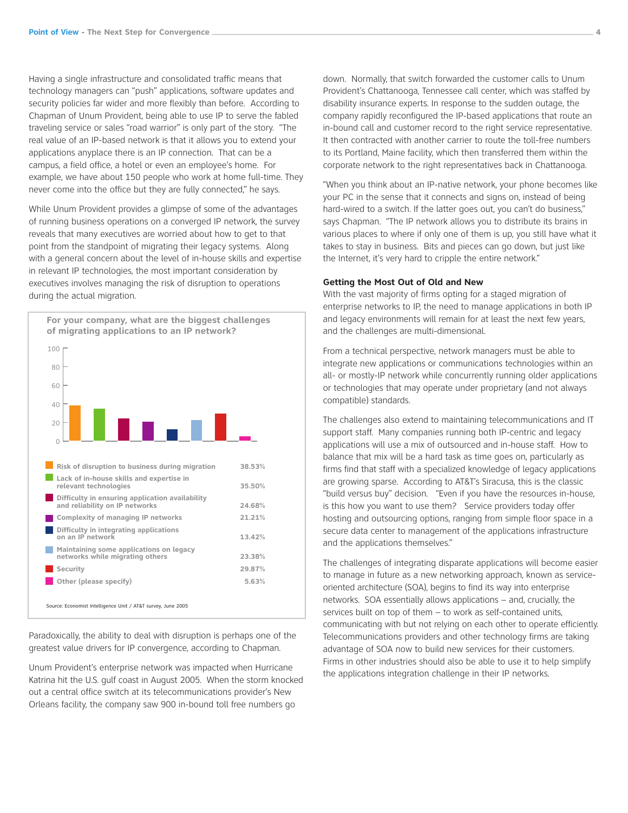Having a single infrastructure and consolidated traffic means that technology managers can "push" applications, software updates and security policies far wider and more flexibly than before. According to Chapman of Unum Provident, being able to use IP to serve the fabled traveling service or sales "road warrior" is only part of the story. "The real value of an IP-based network is that it allows you to extend your applications anyplace there is an IP connection. That can be a campus, a field office, a hotel or even an employee's home. For example, we have about 150 people who work at home full-time. They never come into the office but they are fully connected," he says.

While Unum Provident provides a glimpse of some of the advantages of running business operations on a converged IP network, the survey reveals that many executives are worried about how to get to that point from the standpoint of migrating their legacy systems. Along with a general concern about the level of in-house skills and expertise in relevant IP technologies, the most important consideration by executives involves managing the risk of disruption to operations during the actual migration.



Paradoxically, the ability to deal with disruption is perhaps one of the greatest value drivers for IP convergence, according to Chapman.

Unum Provident's enterprise network was impacted when Hurricane Katrina hit the U.S. gulf coast in August 2005. When the storm knocked out a central office switch at its telecommunications provider's New Orleans facility, the company saw 900 in-bound toll free numbers go

down. Normally, that switch forwarded the customer calls to Unum Provident's Chattanooga, Tennessee call center, which was staffed by disability insurance experts. In response to the sudden outage, the company rapidly reconfigured the IP-based applications that route an in-bound call and customer record to the right service representative. It then contracted with another carrier to route the toll-free numbers to its Portland, Maine facility, which then transferred them within the corporate network to the right representatives back in Chattanooga.

"When you think about an IP-native network, your phone becomes like your PC in the sense that it connects and signs on, instead of being hard-wired to a switch. If the latter goes out, you can't do business," says Chapman. "The IP network allows you to distribute its brains in various places to where if only one of them is up, you still have what it takes to stay in business. Bits and pieces can go down, but just like the Internet, it's very hard to cripple the entire network."

### **Getting the Most Out of Old and New**

With the vast majority of firms opting for a staged migration of enterprise networks to IP, the need to manage applications in both IP and legacy environments will remain for at least the next few years, and the challenges are multi-dimensional.

From a technical perspective, network managers must be able to integrate new applications or communications technologies within an all- or mostly-IP network while concurrently running older applications or technologies that may operate under proprietary (and not always compatible) standards.

The challenges also extend to maintaining telecommunications and IT support staff. Many companies running both IP-centric and legacy applications will use a mix of outsourced and in-house staff. How to balance that mix will be a hard task as time goes on, particularly as firms find that staff with a specialized knowledge of legacy applications are growing sparse. According to AT&T's Siracusa, this is the classic "build versus buy" decision. "Even if you have the resources in-house, is this how you want to use them? Service providers today offer hosting and outsourcing options, ranging from simple floor space in a secure data center to management of the applications infrastructure and the applications themselves."

The challenges of integrating disparate applications will become easier to manage in future as a new networking approach, known as serviceoriented architecture (SOA), begins to find its way into enterprise networks. SOA essentially allows applications – and, crucially, the services built on top of them – to work as self-contained units, communicating with but not relying on each other to operate efficiently. Telecommunications providers and other technology firms are taking advantage of SOA now to build new services for their customers. Firms in other industries should also be able to use it to help simplify the applications integration challenge in their IP networks.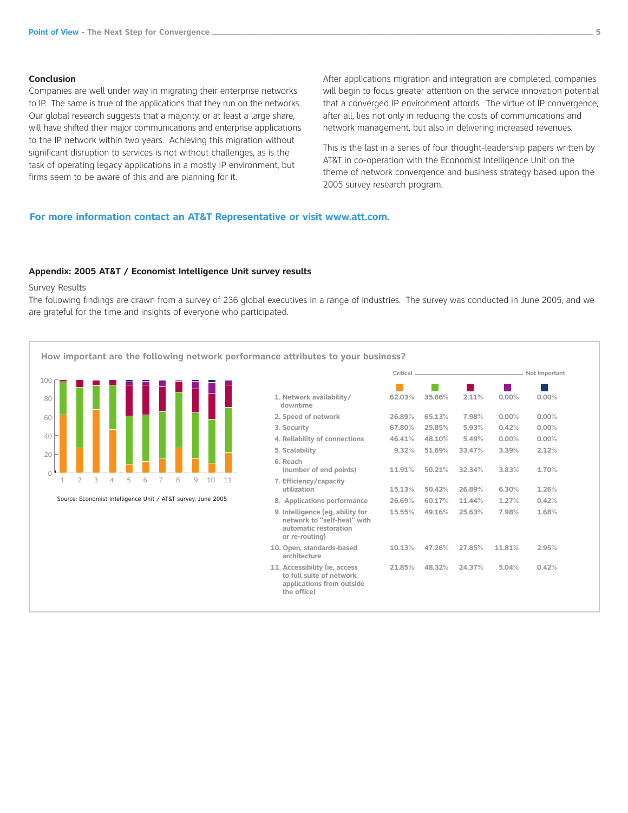#### **Conclusion**

Companies are well under way in migrating their enterprise networks to IP. The same is true of the applications that they run on the networks. Our global research suggests that a majority, or at least a large share, will have shifted their major communications and enterprise applications to the IP network within two years. Achieving this migration without significant disruption to services is not without challenges, as is the task of operating legacy applications in a mostly IP environment, but firms seem to be aware of this and are planning for it.

After applications migration and integration are completed, companies will begin to focus greater attention on the service innovation potential that a converged IP environment affords. The virtue of IP convergence, after all, lies not only in reducing the costs of communications and network management, but also in delivering increased revenues.

This is the last in a series of four thought-leadership papers written by AT&T in co-operation with the Economist Intelligence Unit on the theme of network convergence and business strategy based upon the 2005 survey research program.

## **For more information contact an AT&T Representative or visit www.att.com.**

#### **Appendix: 2005 AT&T / Economist Intelligence Unit survey results**

#### Survey Results

The following findings are drawn from a survey of 236 global executives in a range of industries. The survey was conducted in June 2005, and we are grateful for the time and insights of everyone who participated.

**How important are the following network performance attributes to your business?** 



|                                                                                                            |        |        |        |        | Not Important |
|------------------------------------------------------------------------------------------------------------|--------|--------|--------|--------|---------------|
|                                                                                                            |        |        |        |        |               |
| 1. Network availability/<br>downtime                                                                       | 62.03% | 35.86% | 2.11%  | 0.00%  | 0.00%         |
| 2. Speed of network                                                                                        | 26.89% | 65.13% | 7.98%  | 0.00%  | 0.00%         |
| 3. Security                                                                                                | 67.80% | 25.85% | 5.93%  | 0.42%  | 0.00%         |
| 4. Reliability of connections                                                                              | 46.41% | 48.10% | 5.49%  | 0.00%  | 0.00%         |
| 5. Scalability                                                                                             | 9.32%  | 51.69% | 33.47% | 3.39%  | 2.12%         |
| 6. Reach<br>(number of end points)                                                                         | 11.91% | 50.21% | 32.34% | 3.83%  | 1.70%         |
| 7. Efficiency/capacity<br>utilization                                                                      | 15.13% | 50.42% | 26.89% | 6.30%  | 1.26%         |
| 8. Applications performance                                                                                | 26.69% | 60.17% | 11.44% | 1.27%  | 0.42%         |
| 9. Intelligence (eg, ability for<br>network to "self-heal" with<br>automatic restoration<br>or re-routing) | 15.55% | 49.16% | 25.63% | 7.98%  | 1.68%         |
| 10. Open, standards-based<br>architecture                                                                  | 10.13% | 47.26% | 27.85% | 11.81% | 2.95%         |
| 11. Accessibility (ie, access<br>to full suite of network<br>applications from outside<br>the office)      | 21.85% | 48.32% | 24.37% | 5.04%  | 0.42%         |
|                                                                                                            |        |        |        |        |               |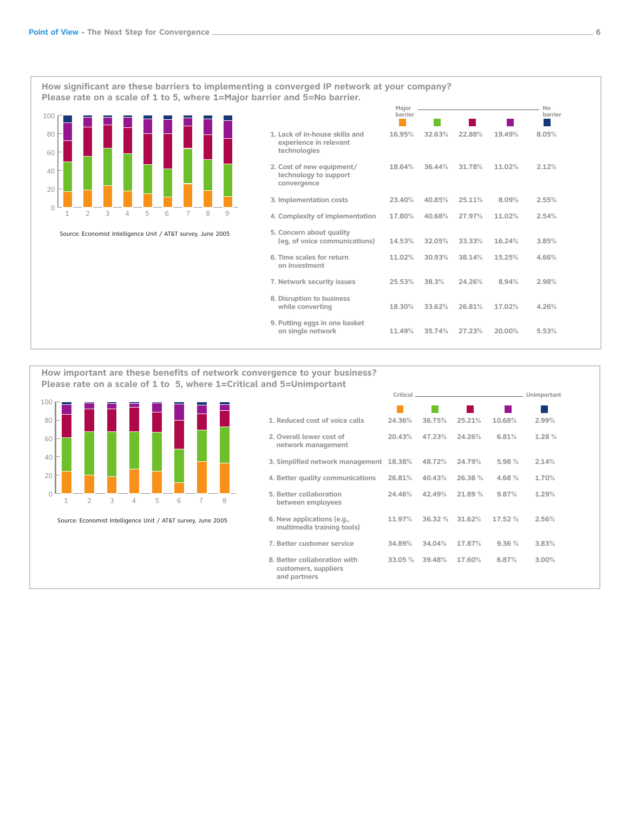**How significant are these barriers to implementing a converged IP network at your company? lease rate on a scale of 1 to 5, where 1=Majo barrier and 5=No barrier.**



|                                                                          | Maior<br>barrier |        |        |        | No<br>barrier |
|--------------------------------------------------------------------------|------------------|--------|--------|--------|---------------|
| 1. Lack of in-house skills and<br>experience in relevant<br>technologies | 16.95%           | 32.63% | 22.88% | 19.49% | 8.05%         |
| 2. Cost of new equipment/<br>technology to support<br>convergence        | 18.64%           | 36.44% | 31.78% | 11.02% | 2.12%         |
| 3. Implementation costs                                                  | 23.40%           | 40.85% | 25.11% | 8.09%  | 2.55%         |
| 4. Complexity of implementation                                          | 17.80%           | 40.68% | 27.97% | 11.02% | 2.54%         |
| 5. Concern about quality<br>(eq, of voice communications)                | 14.53%           | 32.05% | 33.33% | 16.24% | 3.85%         |
| 6. Time scales for return<br>on investment                               | 11.02%           | 30.93% | 38.14% | 15.25% | 4.66%         |
| 7. Network security issues                                               | 25.53%           | 38.3%  | 24.26% | 8.94%  | 2.98%         |
| 8. Disruption to business<br>while converting                            | 18.30%           | 33.62% | 26.81% | 17.02% | 4.26%         |
| 9. Putting eggs in one basket<br>on single network                       | 11.49%           | 35.74% | 27.23% | 20.00% | 5.53%         |

**How important are these benefits of network convergence to your business? lease rate on a scale of 1 to 5, where 1=Critical and 5=Unimportant**



| 1. Reduced cost of voice calls                                       | 24.36% | 36.75% | 25.21% | 10.68%  | 2.99% |
|----------------------------------------------------------------------|--------|--------|--------|---------|-------|
| 2. Overall lower cost of<br>network management                       | 20.43% | 47.23% | 24.26% | 6.81%   | 1.28% |
| 3. Simplified network management 18.38%                              |        | 48.72% | 24.79% | 5.98 %  | 2.14% |
| 4. Better quality communications                                     | 26.81% | 40.43% | 26.38% | 4.68%   | 1.70% |
| 5. Better collaboration<br>between employees                         | 24.46% | 42.49% | 21.89% | 9.87%   | 1.29% |
| 6. New applications (e.g.,<br>multimedia training tools)             | 11.97% | 36.32% | 31.62% | 17.52 % | 2.56% |
| 7. Better customer service                                           | 34.89% | 34.04% | 17.87% | 9.36%   | 3.83% |
| 8. Better collaboration with<br>customers, suppliers<br>and partners | 33.05% | 39.48% | 17.60% | 6.87%   | 3.00% |

**Critical Unimportant**